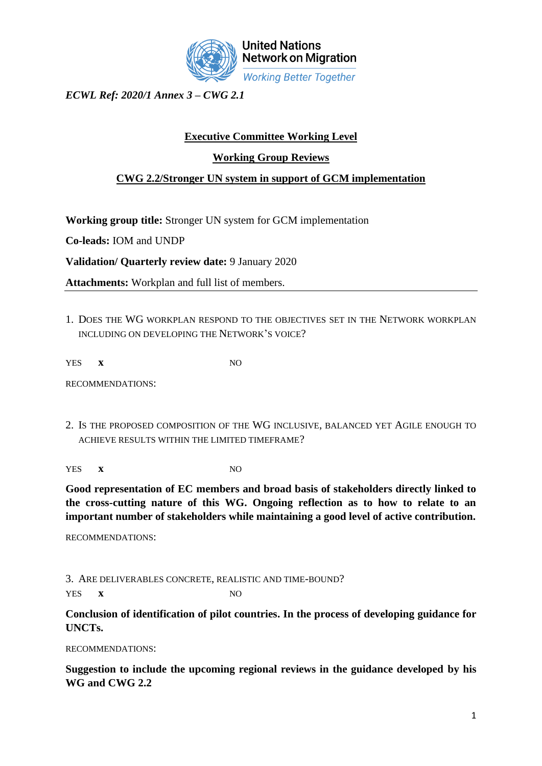

*ECWL Ref: 2020/1 Annex 3 – CWG 2.1*

## **Executive Committee Working Level**

## **Working Group Reviews**

## **CWG 2.2/Stronger UN system in support of GCM implementation**

**Working group title:** Stronger UN system for GCM implementation

**Co-leads:** IOM and UNDP

**Validation/ Quarterly review date:** 9 January 2020

**Attachments:** Workplan and full list of members.

1. DOES THE WG WORKPLAN RESPOND TO THE OBJECTIVES SET IN THE NETWORK WORKPLAN INCLUDING ON DEVELOPING THE NETWORK'S VOICE?

YES **x** NO

RECOMMENDATIONS:

2. IS THE PROPOSED COMPOSITION OF THE WG INCLUSIVE, BALANCED YET AGILE ENOUGH TO ACHIEVE RESULTS WITHIN THE LIMITED TIMEFRAME?

YES **x** NO

**Good representation of EC members and broad basis of stakeholders directly linked to the cross-cutting nature of this WG. Ongoing reflection as to how to relate to an important number of stakeholders while maintaining a good level of active contribution.**

RECOMMENDATIONS:

3. ARE DELIVERABLES CONCRETE, REALISTIC AND TIME-BOUND? YES **x** NO

**Conclusion of identification of pilot countries. In the process of developing guidance for UNCTs.**

RECOMMENDATIONS:

**Suggestion to include the upcoming regional reviews in the guidance developed by his WG and CWG 2.2**